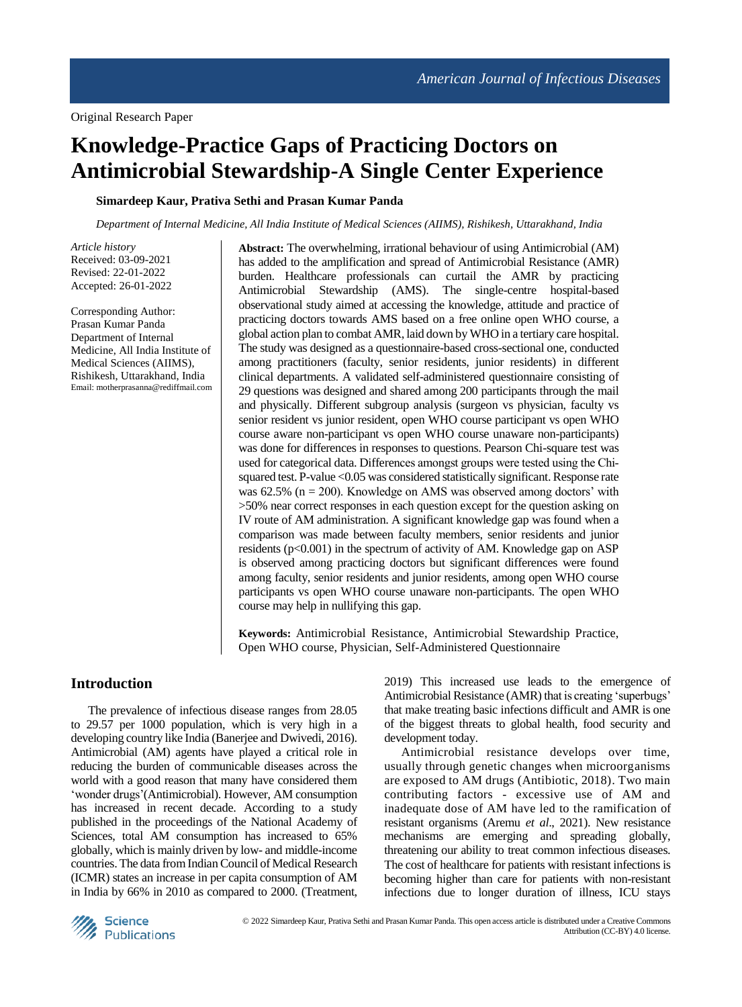# **Knowledge-Practice Gaps of Practicing Doctors on Antimicrobial Stewardship-A Single Center Experience**

## **Simardeep Kaur, Prativa Sethi and Prasan Kumar Panda**

*Department of Internal Medicine, All India Institute of Medical Sciences (AIIMS), Rishikesh, Uttarakhand, India*

*Article history* Received: 03-09-2021 Revised: 22-01-2022 Accepted: 26-01-2022

Corresponding Author: Prasan Kumar Panda Department of Internal Medicine, All India Institute of Medical Sciences (AIIMS), Rishikesh, Uttarakhand, India [Email:](mailto:Email) motherprasanna@rediffmail.com **Abstract:** The overwhelming, irrational behaviour of using Antimicrobial (AM) has added to the amplification and spread of Antimicrobial Resistance (AMR) burden. Healthcare professionals can curtail the AMR by practicing Antimicrobial Stewardship (AMS). The single-centre hospital-based observational study aimed at accessing the knowledge, attitude and practice of practicing doctors towards AMS based on a free online open WHO course, a global action plan to combat AMR, laid down by WHO in a tertiary care hospital. The study was designed as a questionnaire-based cross-sectional one, conducted among practitioners (faculty, senior residents, junior residents) in different clinical departments. A validated self-administered questionnaire consisting of 29 questions was designed and shared among 200 participants through the mail and physically. Different subgroup analysis (surgeon vs physician, faculty vs senior resident vs junior resident, open WHO course participant vs open WHO course aware non-participant vs open WHO course unaware non-participants) was done for differences in responses to questions. Pearson Chi-square test was used for categorical data. Differences amongst groups were tested using the Chisquared test. P-value <0.05 was considered statistically significant. Response rate was 62.5% (n = 200). Knowledge on AMS was observed among doctors' with >50% near correct responses in each question except for the question asking on IV route of AM administration. A significant knowledge gap was found when a comparison was made between faculty members, senior residents and junior residents ( $p<0.001$ ) in the spectrum of activity of AM. Knowledge gap on ASP is observed among practicing doctors but significant differences were found among faculty, senior residents and junior residents, among open WHO course participants vs open WHO course unaware non-participants. The open WHO course may help in nullifying this gap.

**Keywords:** Antimicrobial Resistance, Antimicrobial Stewardship Practice, Open WHO course, Physician, Self-Administered Questionnaire

# **Introduction**

The prevalence of infectious disease ranges from 28.05 to 29.57 per 1000 population, which is very high in a developing country like India (Banerjee and Dwivedi, 2016). Antimicrobial (AM) agents have played a critical role in reducing the burden of communicable diseases across the world with a good reason that many have considered them 'wonder drugs'(Antimicrobial). However, AM consumption has increased in recent decade. According to a study published in the proceedings of the National Academy of Sciences, total AM consumption has increased to 65% globally, which is mainly driven by low- and middle-income countries. The data from Indian Council of Medical Research (ICMR) states an increase in per capita consumption of AM in India by 66% in 2010 as compared to 2000. (Treatment,

2019) This increased use leads to the emergence of Antimicrobial Resistance (AMR) that is creating 'superbugs' that make treating basic infections difficult and AMR is one of the biggest threats to global health, food security and development today.

Antimicrobial resistance develops over time, usually through genetic changes when microorganisms are exposed to AM drugs (Antibiotic, 2018). Two main contributing factors - excessive use of AM and inadequate dose of AM have led to the ramification of resistant organisms (Aremu *et al*., 2021). New resistance mechanisms are emerging and spreading globally, threatening our ability to treat common infectious diseases. The cost of healthcare for patients with resistant infections is becoming higher than care for patients with non-resistant infections due to longer duration of illness, ICU stays

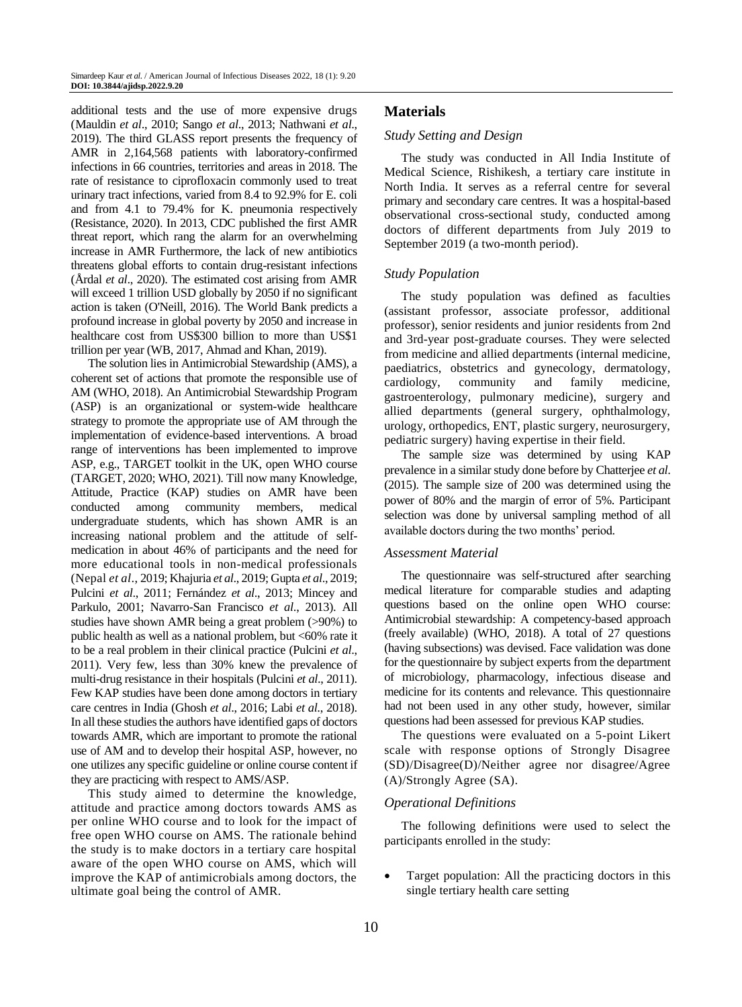additional tests and the use of more expensive drugs (Mauldin *et al*., 2010; Sango *et al*., 2013; Nathwani *et al*., 2019). The third GLASS report presents the frequency of AMR in 2,164,568 patients with laboratory-confirmed infections in 66 countries, territories and areas in 2018. The rate of resistance to ciprofloxacin commonly used to treat urinary tract infections, varied from 8.4 to 92.9% for E. coli and from 4.1 to 79.4% for K. pneumonia respectively (Resistance, 2020). In 2013, CDC published the first AMR threat report, which rang the alarm for an overwhelming increase in AMR Furthermore, the lack of new antibiotics threatens global efforts to contain drug-resistant infections (Årdal *et al*., 2020). The estimated cost arising from AMR will exceed 1 trillion USD globally by 2050 if no significant action is taken (O'Neill, 2016). The World Bank predicts a profound increase in global poverty by 2050 and increase in healthcare cost from US\$300 billion to more than US\$1 trillion per year (WB, 2017, Ahmad and Khan, 2019).

The solution lies in Antimicrobial Stewardship (AMS), a coherent set of actions that promote the responsible use of AM (WHO, 2018). An Antimicrobial Stewardship Program (ASP) is an organizational or system-wide healthcare strategy to promote the appropriate use of AM through the implementation of evidence-based interventions. A broad range of interventions has been implemented to improve ASP, e.g., TARGET toolkit in the UK, open WHO course (TARGET, 2020; WHO, 2021). Till now many Knowledge, Attitude, Practice (KAP) studies on AMR have been conducted among community members, medical undergraduate students, which has shown AMR is an increasing national problem and the attitude of selfmedication in about 46% of participants and the need for more educational tools in non-medical professionals (Nepal *et al*., 2019; Khajuria *et al*., 2019; Gupta *et al*., 2019; Pulcini *et al*., 2011; Fernández *et al*., 2013; Mincey and Parkulo, 2001; Navarro-San Francisco *et al*., 2013). All studies have shown AMR being a great problem (>90%) to public health as well as a national problem, but <60% rate it to be a real problem in their clinical practice (Pulcini *et al*., 2011). Very few, less than 30% knew the prevalence of multi-drug resistance in their hospitals (Pulcini *et al*., 2011). Few KAP studies have been done among doctors in tertiary care centres in India (Ghosh *et al*., 2016; Labi *et al*., 2018). In all these studies the authors have identified gaps of doctors towards AMR, which are important to promote the rational use of AM and to develop their hospital ASP, however, no one utilizes any specific guideline or online course content if they are practicing with respect to AMS/ASP.

This study aimed to determine the knowledge, attitude and practice among doctors towards AMS as per online WHO course and to look for the impact of free open WHO course on AMS. The rationale behind the study is to make doctors in a tertiary care hospital aware of the open WHO course on AMS, which will improve the KAP of antimicrobials among doctors, the ultimate goal being the control of AMR.

# **Materials**

#### *Study Setting and Design*

The study was conducted in All India Institute of Medical Science, Rishikesh, a tertiary care institute in North India. It serves as a referral centre for several primary and secondary care centres. It was a hospital-based observational cross-sectional study, conducted among doctors of different departments from July 2019 to September 2019 (a two-month period).

#### *Study Population*

The study population was defined as faculties (assistant professor, associate professor, additional professor), senior residents and junior residents from 2nd and 3rd-year post-graduate courses. They were selected from medicine and allied departments (internal medicine, paediatrics, obstetrics and gynecology, dermatology, cardiology, community and family medicine, gastroenterology, pulmonary medicine), surgery and allied departments (general surgery, ophthalmology, urology, orthopedics, ENT, plastic surgery, neurosurgery, pediatric surgery) having expertise in their field.

The sample size was determined by using KAP prevalence in a similar study done before by Chatterjee *et al*. (2015). The sample size of 200 was determined using the power of 80% and the margin of error of 5%. Participant selection was done by universal sampling method of all available doctors during the two months' period.

#### *Assessment Material*

The questionnaire was self-structured after searching medical literature for comparable studies and adapting questions based on the online open WHO course: Antimicrobial stewardship: A competency-based approach (freely available) (WHO, 2018). A total of 27 questions (having subsections) was devised. Face validation was done for the questionnaire by subject experts from the department of microbiology, pharmacology, infectious disease and medicine for its contents and relevance. This questionnaire had not been used in any other study, however, similar questions had been assessed for previous KAP studies.

The questions were evaluated on a 5-point Likert scale with response options of Strongly Disagree (SD)/Disagree(D)/Neither agree nor disagree/Agree (A)/Strongly Agree (SA).

#### *Operational Definitions*

The following definitions were used to select the participants enrolled in the study:

 Target population: All the practicing doctors in this single tertiary health care setting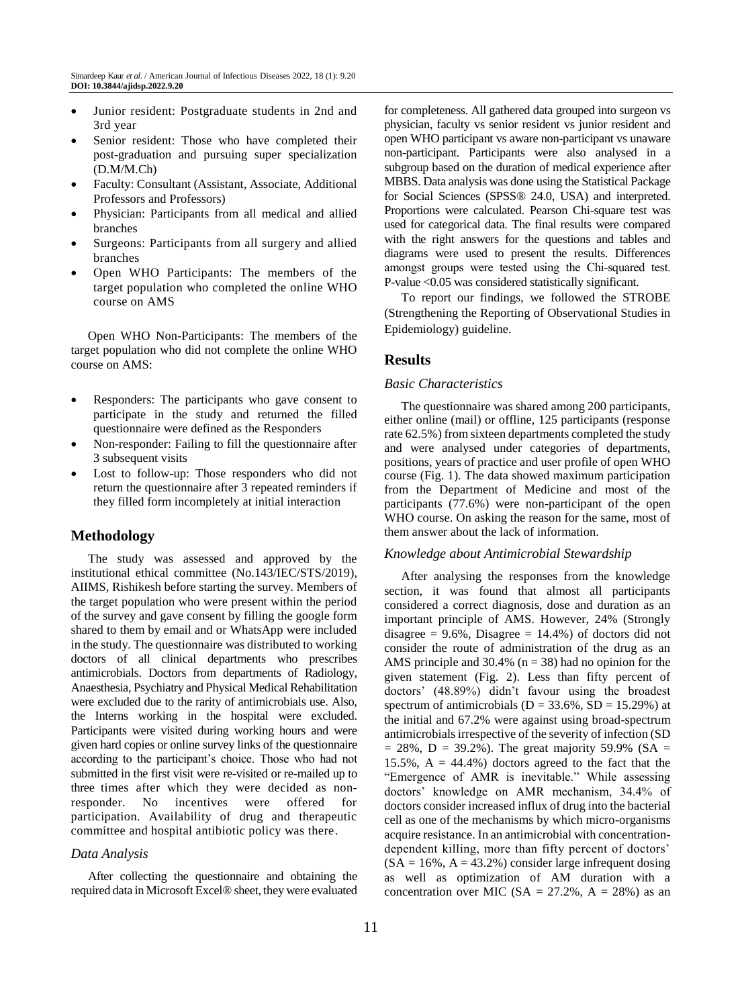- Junior resident: Postgraduate students in 2nd and 3rd year
- Senior resident: Those who have completed their post-graduation and pursuing super specialization (D.M/M.Ch)
- Faculty: Consultant (Assistant, Associate, Additional Professors and Professors)
- Physician: Participants from all medical and allied branches
- Surgeons: Participants from all surgery and allied branches
- Open WHO Participants: The members of the target population who completed the online WHO course on AMS

Open WHO Non-Participants: The members of the target population who did not complete the online WHO course on AMS:

- Responders: The participants who gave consent to participate in the study and returned the filled questionnaire were defined as the Responders
- Non-responder: Failing to fill the questionnaire after 3 subsequent visits
- Lost to follow-up: Those responders who did not return the questionnaire after 3 repeated reminders if they filled form incompletely at initial interaction

# **Methodology**

The study was assessed and approved by the institutional ethical committee (No.143/IEC/STS/2019), AIIMS, Rishikesh before starting the survey. Members of the target population who were present within the period of the survey and gave consent by filling the google form shared to them by email and or WhatsApp were included in the study. The questionnaire was distributed to working doctors of all clinical departments who prescribes antimicrobials. Doctors from departments of Radiology, Anaesthesia, Psychiatry and Physical Medical Rehabilitation were excluded due to the rarity of antimicrobials use. Also, the Interns working in the hospital were excluded. Participants were visited during working hours and were given hard copies or online survey links of the questionnaire according to the participant's choice. Those who had not submitted in the first visit were re-visited or re-mailed up to three times after which they were decided as nonresponder. No incentives were offered for participation. Availability of drug and therapeutic committee and hospital antibiotic policy was there.

### *Data Analysis*

After collecting the questionnaire and obtaining the required data in Microsoft Excel® sheet, they were evaluated for completeness. All gathered data grouped into surgeon vs physician, faculty vs senior resident vs junior resident and open WHO participant vs aware non-participant vs unaware non-participant. Participants were also analysed in a subgroup based on the duration of medical experience after MBBS. Data analysis was done using the Statistical Package for Social Sciences (SPSS® 24.0, USA) and interpreted. Proportions were calculated. Pearson Chi-square test was used for categorical data. The final results were compared with the right answers for the questions and tables and diagrams were used to present the results. Differences amongst groups were tested using the Chi‐squared test. P-value <0.05 was considered statistically significant.

To report our findings, we followed the STROBE (Strengthening the Reporting of Observational Studies in Epidemiology) guideline.

# **Results**

#### *Basic Characteristics*

The questionnaire was shared among 200 participants, either online (mail) or offline, 125 participants (response rate 62.5%) from sixteen departments completed the study and were analysed under categories of departments, positions, years of practice and user profile of open WHO course (Fig. 1). The data showed maximum participation from the Department of Medicine and most of the participants (77.6%) were non-participant of the open WHO course. On asking the reason for the same, most of them answer about the lack of information.

#### *Knowledge about Antimicrobial Stewardship*

After analysing the responses from the knowledge section, it was found that almost all participants considered a correct diagnosis, dose and duration as an important principle of AMS. However, 24% (Strongly disagree  $= 9.6\%$ , Disagree  $= 14.4\%$ ) of doctors did not consider the route of administration of the drug as an AMS principle and  $30.4\%$  (n = 38) had no opinion for the given statement (Fig. 2). Less than fifty percent of doctors' (48.89%) didn't favour using the broadest spectrum of antimicrobials ( $D = 33.6\%$ ,  $SD = 15.29\%$ ) at the initial and 67.2% were against using broad-spectrum antimicrobials irrespective of the severity of infection (SD  $= 28\%$ , D  $= 39.2\%$ ). The great majority 59.9% (SA  $=$ 15.5%,  $A = 44.4\%$ ) doctors agreed to the fact that the "Emergence of AMR is inevitable." While assessing doctors' knowledge on AMR mechanism, 34.4% of doctors consider increased influx of drug into the bacterial cell as one of the mechanisms by which micro-organisms acquire resistance. In an antimicrobial with concentrationdependent killing, more than fifty percent of doctors'  $(SA = 16\%, A = 43.2\%)$  consider large infrequent dosing as well as optimization of AM duration with a concentration over MIC ( $SA = 27.2\%$ ,  $A = 28\%$ ) as an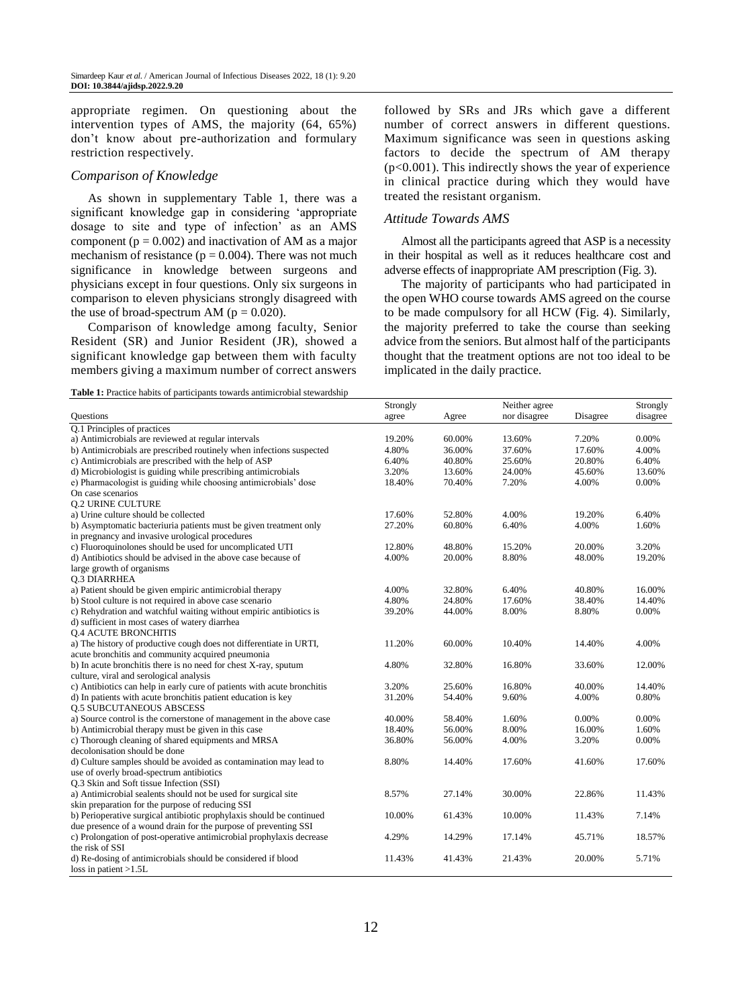appropriate regimen. On questioning about the intervention types of AMS, the majority (64, 65%) don't know about pre-authorization and formulary restriction respectively.

#### *Comparison of Knowledge*

As shown in supplementary Table 1, there was a significant knowledge gap in considering 'appropriate dosage to site and type of infection' as an AMS component ( $p = 0.002$ ) and inactivation of AM as a major mechanism of resistance ( $p = 0.004$ ). There was not much significance in knowledge between surgeons and physicians except in four questions. Only six surgeons in comparison to eleven physicians strongly disagreed with the use of broad-spectrum AM ( $p = 0.020$ ).

Comparison of knowledge among faculty, Senior Resident (SR) and Junior Resident (JR), showed a significant knowledge gap between them with faculty members giving a maximum number of correct answers

**Table 1:** Practice habits of participants towards antimicrobial stewardship

followed by SRs and JRs which gave a different number of correct answers in different questions. Maximum significance was seen in questions asking factors to decide the spectrum of AM therapy  $(p<0.001)$ . This indirectly shows the year of experience in clinical practice during which they would have treated the resistant organism.

#### *Attitude Towards AMS*

Almost all the participants agreed that ASP is a necessity in their hospital as well as it reduces healthcare cost and adverse effects of inappropriate AM prescription (Fig. 3).

The majority of participants who had participated in the open WHO course towards AMS agreed on the course to be made compulsory for all HCW (Fig. 4). Similarly, the majority preferred to take the course than seeking advice from the seniors. But almost half of the participants thought that the treatment options are not too ideal to be implicated in the daily practice.

|                                                                         | Strongly |        | Neither agree | Strongly |          |
|-------------------------------------------------------------------------|----------|--------|---------------|----------|----------|
| <b>Questions</b>                                                        | agree    | Agree  | nor disagree  | Disagree | disagree |
| Q.1 Principles of practices                                             |          |        |               |          |          |
| a) Antimicrobials are reviewed at regular intervals                     | 19.20%   | 60.00% | 13.60%        | 7.20%    | 0.00%    |
| b) Antimicrobials are prescribed routinely when infections suspected    | 4.80%    | 36.00% | 37.60%        | 17.60%   | 4.00%    |
| c) Antimicrobials are prescribed with the help of ASP                   | 6.40%    | 40.80% | 25.60%        | 20.80%   | 6.40%    |
| d) Microbiologist is guiding while prescribing antimicrobials           | 3.20%    | 13.60% | 24.00%        | 45.60%   | 13.60%   |
| e) Pharmacologist is guiding while choosing antimicrobials' dose        | 18.40%   | 70.40% | 7.20%         | 4.00%    | 0.00%    |
| On case scenarios                                                       |          |        |               |          |          |
| <b>0.2 URINE CULTURE</b>                                                |          |        |               |          |          |
| a) Urine culture should be collected                                    | 17.60%   | 52.80% | 4.00%         | 19.20%   | 6.40%    |
| b) Asymptomatic bacteriuria patients must be given treatment only       | 27.20%   | 60.80% | 6.40%         | 4.00%    | 1.60%    |
| in pregnancy and invasive urological procedures                         |          |        |               |          |          |
| c) Fluoroquinolones should be used for uncomplicated UTI                | 12.80%   | 48.80% | 15.20%        | 20.00%   | 3.20%    |
| d) Antibiotics should be advised in the above case because of           | 4.00%    | 20.00% | 8.80%         | 48.00%   | 19.20%   |
| large growth of organisms                                               |          |        |               |          |          |
| <b>0.3 DIARRHEA</b>                                                     |          |        |               |          |          |
| a) Patient should be given empiric antimicrobial therapy                | 4.00%    | 32.80% | 6.40%         | 40.80%   | 16.00%   |
| b) Stool culture is not required in above case scenario                 | 4.80%    | 24.80% | 17.60%        | 38.40%   | 14.40%   |
| c) Rehydration and watchful waiting without empiric antibiotics is      | 39.20%   | 44.00% | 8.00%         | 8.80%    | 0.00%    |
| d) sufficient in most cases of watery diarrhea                          |          |        |               |          |          |
| <b>Q.4 ACUTE BRONCHITIS</b>                                             |          |        |               |          |          |
| a) The history of productive cough does not differentiate in URTI,      | 11.20%   | 60.00% | 10.40%        | 14.40%   | 4.00%    |
| acute bronchitis and community acquired pneumonia                       |          |        |               |          |          |
| b) In acute bronchitis there is no need for chest X-ray, sputum         | 4.80%    | 32.80% | 16.80%        | 33.60%   | 12.00%   |
| culture, viral and serological analysis                                 |          |        |               |          |          |
| c) Antibiotics can help in early cure of patients with acute bronchitis | 3.20%    | 25.60% | 16.80%        | 40.00%   | 14.40%   |
| d) In patients with acute bronchitis patient education is key           | 31.20%   | 54.40% | 9.60%         | 4.00%    | 0.80%    |
| <b>0.5 SUBCUTANEOUS ABSCESS</b>                                         |          |        |               |          |          |
| a) Source control is the cornerstone of management in the above case    | 40.00%   | 58.40% | 1.60%         | 0.00%    | 0.00%    |
| b) Antimicrobial therapy must be given in this case                     | 18.40%   | 56.00% | 8.00%         | 16.00%   | 1.60%    |
| c) Thorough cleaning of shared equipments and MRSA                      | 36.80%   | 56.00% | 4.00%         | 3.20%    | 0.00%    |
| decolonisation should be done                                           |          |        |               |          |          |
| d) Culture samples should be avoided as contamination may lead to       | 8.80%    | 14.40% | 17.60%        | 41.60%   | 17.60%   |
| use of overly broad-spectrum antibiotics                                |          |        |               |          |          |
| Q.3 Skin and Soft tissue Infection (SSI)                                |          |        |               |          |          |
| a) Antimicrobial sealents should not be used for surgical site          | 8.57%    | 27.14% | 30.00%        | 22.86%   | 11.43%   |
| skin preparation for the purpose of reducing SSI                        |          |        |               |          |          |
| b) Perioperative surgical antibiotic prophylaxis should be continued    | 10.00%   | 61.43% | 10.00%        | 11.43%   | 7.14%    |
| due presence of a wound drain for the purpose of preventing SSI         |          |        |               |          |          |
| c) Prolongation of post-operative antimicrobial prophylaxis decrease    | 4.29%    | 14.29% | 17.14%        | 45.71%   | 18.57%   |
| the risk of SSI                                                         |          |        |               |          |          |
| d) Re-dosing of antimicrobials should be considered if blood            | 11.43%   | 41.43% | 21.43%        | 20.00%   | 5.71%    |
| loss in patient $>1.5L$                                                 |          |        |               |          |          |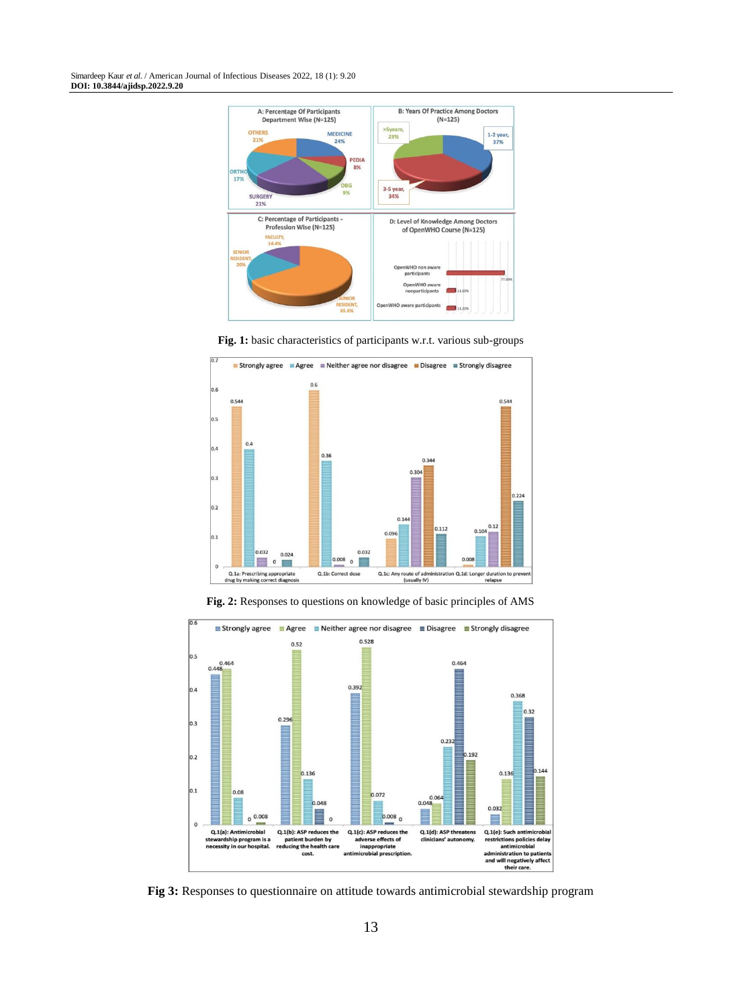Simardeep Kaur *et al*. / American Journal of Infectious Diseases 2022, 18 (1): 9.20 **DOI: 10.3844/ajidsp.2022.9.20**



**Fig. 1:** basic characteristics of participants w.r.t. various sub-groups



 $\overline{0.6}$ **■ Strongly agree ■ Agree ■ Neither agree nor disagree ■ Disagree ■ Strongly disagree**  $0.528$  $0.52$  $0.5$  $0.464$ 0.464 0.392 0.4 0.368  $0.32$  $0.296$  $0.3$  $0.232$  $, 192$  $0.2$  $0.144$ 0.136 0.136  $0.1$ 0.08  $0.048$ 0.072  $0.032$  $0\frac{0.008}{\cdots}$  $0.008<sub>0</sub>$ ∎  $\Omega$ Q.1(a): Antimicrobial<br>stewardship program is a<br>necessity in our hospital. Q.1(b): ASP reduces the<br>patient burden by<br>reducing the health care Q.1(c): ASP reduces the<br>adverse effects of<br>inappropriate Q.1(d): ASP threaten:<br>clinicians' autonomy. Q.1(e): Such antimicrobia<br>restrictions policies delay aten:<br>10My ctions policies delay<br>antimicrobial antimicional<br>administration to patients<br>and will negatively affect<br>their care. cost ant ial prescription

**Fig. 2:** Responses to questions on knowledge of basic principles of AMS

**Fig 3:** Responses to questionnaire on attitude towards antimicrobial stewardship program

13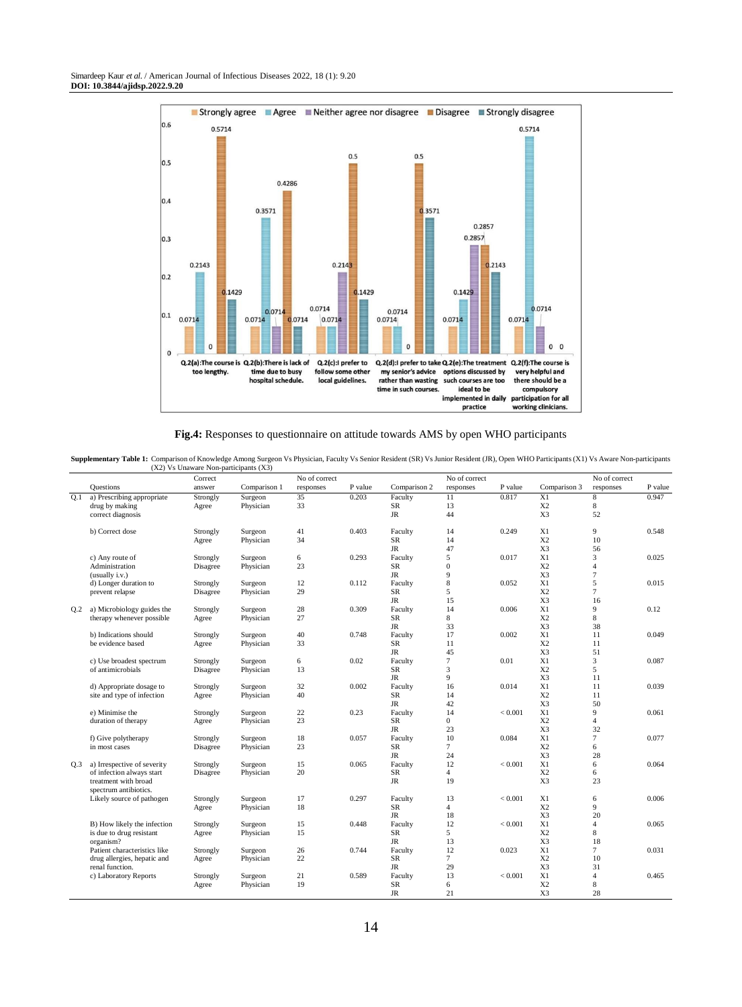

**Fig.4:** Responses to questionnaire on attitude towards AMS by open WHO participants

Supplementary Table 1: Comparison of Knowledge Among Surgeon Vs Physician, Faculty Vs Senior Resident (SR) Vs Junior Resident (JR), Open WHO Participants (X1) Vs Aware Non-participants (X2) Vs Unaware Non-participants (X2)

|                 |                              | Correct  |              | No of correct |         |              | No of correct  |         | No of correct  |                |         |
|-----------------|------------------------------|----------|--------------|---------------|---------|--------------|----------------|---------|----------------|----------------|---------|
|                 | <b>Questions</b>             | answer   | Comparison 1 | responses     | P value | Comparison 2 | responses      | P value | Comparison 3   | responses      | P value |
| 0.1             | a) Prescribing appropriate   | Strongly | Surgeon      | 35            | 0.203   | Faculty      | 11             | 0.817   | X1             | $\overline{8}$ | 0.947   |
|                 | drug by making               | Agree    | Physician    | 33            |         | SR           | 13             |         | X <sub>2</sub> | 8              |         |
|                 | correct diagnosis            |          |              |               |         | <b>JR</b>    | 44             |         | X3             | 52             |         |
|                 |                              |          |              |               |         |              |                |         |                |                |         |
|                 | b) Correct dose              | Strongly | Surgeon      | 41            | 0.403   | Faculty      | 14             | 0.249   | X1             | 9              | 0.548   |
|                 |                              | Agree    | Physician    | 34            |         | SR           | 14             |         | X <sub>2</sub> | 10             |         |
|                 |                              |          |              |               |         | <b>JR</b>    | 47             |         | X3             | 56             |         |
|                 | c) Any route of              | Strongly | Surgeon      | 6             | 0.293   | Faculty      | 5              | 0.017   | X1             | 3              | 0.025   |
|                 | Administration               | Disagree | Physician    | 23            |         | SR           | $\overline{0}$ |         | X <sub>2</sub> | $\overline{4}$ |         |
|                 | (usually i.v.)               |          |              |               |         | <b>JR</b>    | 9              |         | X3             | $\tau$         |         |
|                 | d) Longer duration to        | Strongly | Surgeon      | 12            | 0.112   | Faculty      | 8              | 0.052   | X1             | 5              | 0.015   |
|                 | prevent relapse              | Disagree | Physician    | 29            |         | SR           | 5              |         | X <sub>2</sub> | $\tau$         |         |
|                 |                              |          |              |               |         | $\rm JR$     | 15             |         | X3             | 16             |         |
| Q.2             | a) Microbiology guides the   | Strongly | Surgeon      | 28            | 0.309   | Faculty      | 14             | 0.006   | X1             | 9              | 0.12    |
|                 | therapy whenever possible    | Agree    | Physician    | 27            |         | SR           | 8              |         | X <sub>2</sub> | $\,$ 8 $\,$    |         |
|                 |                              |          |              |               |         | JR           | 33             |         | X3             | 38             |         |
|                 | b) Indications should        | Strongly | Surgeon      | 40            | 0.748   | Faculty      | 17             | 0.002   | X1             | 11             | 0.049   |
|                 | be evidence based            | Agree    | Physician    | 33            |         | SR           | 11             |         | X <sub>2</sub> | 11             |         |
|                 |                              |          |              |               |         | $\rm JR$     | 45             |         | X3             | 51             |         |
|                 | c) Use broadest spectrum     | Strongly | Surgeon      | 6             | 0.02    | Faculty      | $\overline{7}$ | 0.01    | X1             | 3              | 0.087   |
|                 | of antimicrobials            | Disagree | Physician    | 13            |         | <b>SR</b>    | 3              |         | X <sub>2</sub> | 5              |         |
|                 |                              |          |              |               |         | <b>JR</b>    | 9              |         | X3             | 11             |         |
|                 | d) Appropriate dosage to     | Strongly | Surgeon      | 32            | 0.002   | Faculty      | 16             | 0.014   | X1             | 11             | 0.039   |
|                 | site and type of infection   | Agree    | Physician    | 40            |         | <b>SR</b>    | 14             |         | X <sub>2</sub> | 11             |         |
|                 |                              |          |              |               |         | JR           | 42             |         | X3             | 50             |         |
|                 | e) Minimise the              | Strongly | Surgeon      | 22            | 0.23    | Faculty      | 14             | < 0.001 | X1             | 9              | 0.061   |
|                 | duration of therapy          | Agree    | Physician    | 23            |         | SR           | $\overline{0}$ |         | X <sub>2</sub> | $\overline{4}$ |         |
|                 |                              |          |              |               |         | JR           | 23             |         | X3             | 32             |         |
|                 | f) Give polytherapy          | Strongly | Surgeon      | 18            | 0.057   | Faculty      | 10             | 0.084   | X1             | $\tau$         | 0.077   |
|                 | in most cases                | Disagree | Physician    | 23            |         | SR           | $\overline{7}$ |         | X <sub>2</sub> | 6              |         |
|                 |                              |          |              |               |         | $\rm JR$     | 24             |         | X3             | 28             |         |
| Q <sub>.3</sub> | a) Irrespective of severity  | Strongly | Surgeon      | 15            | 0.065   | Faculty      | 12             | < 0.001 | X1             | 6              | 0.064   |
|                 | of infection always start    | Disagree | Physician    | 20            |         | SR           | $\overline{4}$ |         | X <sub>2</sub> | 6              |         |
|                 | treatment with broad         |          |              |               |         | <b>JR</b>    | 19             |         | X3             | 23             |         |
|                 | spectrum antibiotics.        |          |              |               |         |              |                |         |                |                |         |
|                 | Likely source of pathogen    | Strongly | Surgeon      | 17            | 0.297   | Faculty      | 13             | < 0.001 | X1             | 6              | 0.006   |
|                 |                              | Agree    | Physician    | 18            |         | SR           | $\overline{4}$ |         | X <sub>2</sub> | 9              |         |
|                 |                              |          |              |               |         | $\rm JR$     | 18             |         | X3             | 20             |         |
|                 | B) How likely the infection  | Strongly | Surgeon      | 15            | 0.448   | Faculty      | 12             | < 0.001 | X1             | $\overline{4}$ | 0.065   |
|                 | is due to drug resistant     | Agree    | Physician    | 15            |         | <b>SR</b>    | 5              |         | X <sub>2</sub> | 8              |         |
|                 | organism?                    |          |              |               |         | JR           | 13             |         | X3             | 18             |         |
|                 | Patient characteristics like | Strongly | Surgeon      | 26            | 0.744   | Faculty      | 12             | 0.023   | X1             | $\tau$         | 0.031   |
|                 | drug allergies, hepatic and  | Agree    | Physician    | 22            |         | SR           | $\tau$         |         | X <sub>2</sub> | 10             |         |
|                 | renal function.              |          |              |               |         | $\rm JR$     | 29             |         | X3             | 31             |         |
|                 | c) Laboratory Reports        | Strongly | Surgeon      | 21            | 0.589   | Faculty      | 13             | < 0.001 | X1             | $\overline{4}$ | 0.465   |
|                 |                              | Agree    | Physician    | 19            |         | SR           | 6              |         | X <sub>2</sub> | 8              |         |
|                 |                              |          |              |               |         | <b>JR</b>    | 21             |         | X3             | 28             |         |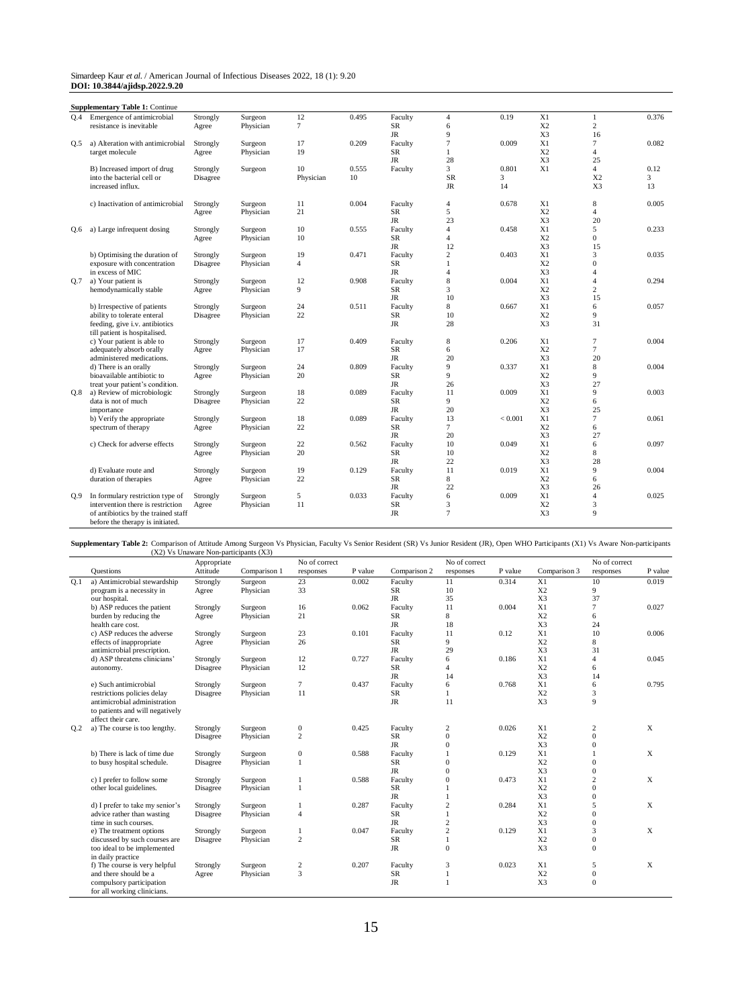| Simardeep Kaur et al. / American Journal of Infectious Diseases 2022, 18 (1): 9.20 |  |  |  |
|------------------------------------------------------------------------------------|--|--|--|
| DOI: 10.3844/ajidsp.2022.9.20                                                      |  |  |  |

|     | <b>Supplementary Table 1: Continue</b>                                  |          |           |                |       |             |                |         |                |                |       |
|-----|-------------------------------------------------------------------------|----------|-----------|----------------|-------|-------------|----------------|---------|----------------|----------------|-------|
| O.4 | Emergence of antimicrobial                                              | Strongly | Surgeon   | 12             | 0.495 | Faculty     | $\overline{4}$ | 0.19    | X1             | $\mathbf{1}$   | 0.376 |
|     | resistance is inevitable                                                | Agree    | Physician | $\overline{7}$ |       | SR          | 6              |         | X <sub>2</sub> | $\overline{c}$ |       |
|     |                                                                         |          |           |                |       | <b>JR</b>   | $\mathbf{Q}$   |         | X3             | 16             |       |
| 0.5 | a) Alteration with antimicrobial                                        | Strongly | Surgeon   | 17             | 0.209 | Faculty     | 7              | 0.009   | X1             | $\overline{7}$ | 0.082 |
|     | target molecule                                                         | Agree    | Physician | 19             |       | <b>SR</b>   |                |         | X <sub>2</sub> | $\overline{4}$ |       |
|     |                                                                         |          |           |                |       | <b>JR</b>   | 28             |         | X <sub>3</sub> | 25             |       |
|     | B) Increased import of drug                                             | Strongly | Surgeon   | 10             | 0.555 | Faculty     | 3              | 0.801   | X1             | $\overline{4}$ | 0.12  |
|     | into the bacterial cell or                                              | Disagree |           | Physician      | 10    |             | <b>SR</b>      | 3       |                | X <sub>2</sub> | 3     |
|     | increased influx.                                                       |          |           |                |       |             | JR             | 14      |                | X3             | 13    |
|     | c) Inactivation of antimicrobial                                        | Strongly | Surgeon   | 11             | 0.004 | Faculty     | $\overline{4}$ | 0.678   | X1             | 8              | 0.005 |
|     |                                                                         | Agree    | Physician | 21             |       | SR          | 5              |         | X <sub>2</sub> | $\overline{4}$ |       |
|     |                                                                         |          |           |                |       | JR          | 23             |         | X3             | 20             |       |
| Q.6 | a) Large infrequent dosing                                              | Strongly | Surgeon   | 10             | 0.555 | Faculty     | $\overline{4}$ | 0.458   | X1             | 5              | 0.233 |
|     |                                                                         | Agree    | Physician | 10             |       | <b>SR</b>   | $\overline{4}$ |         | X <sub>2</sub> | $\overline{0}$ |       |
|     |                                                                         |          |           |                |       | <b>JR</b>   | 12             |         | X3             | 15             |       |
|     | b) Optimising the duration of                                           | Strongly | Surgeon   | 19             | 0.471 | Faculty     | 2              | 0.403   | X1             | 3              | 0.035 |
|     | exposure with concentration                                             | Disagree | Physician | $\overline{4}$ |       | <b>SR</b>   | 1              |         | X <sub>2</sub> | $\overline{0}$ |       |
|     | in excess of MIC                                                        |          |           |                |       | <b>JR</b>   | $\overline{4}$ |         | X3             | $\overline{4}$ |       |
| 0.7 | a) Your patient is                                                      | Strongly | Surgeon   | 12             | 0.908 | Faculty     | $\,$ 8 $\,$    | 0.004   | X1             | $\overline{4}$ | 0.294 |
|     | hemodynamically stable                                                  | Agree    | Physician | 9              |       | <b>SR</b>   | 3              |         | X <sub>2</sub> | $\overline{c}$ |       |
|     |                                                                         |          |           |                |       | JR          | 10             |         | X3             | 15             |       |
|     | b) Irrespective of patients                                             | Strongly | Surgeon   | 24             | 0.511 | Faculty     | 8              | 0.667   | X1             | 6              | 0.057 |
|     | ability to tolerate enteral                                             | Disagree | Physician | 22             |       | <b>SR</b>   | 10             |         | X <sub>2</sub> | 9              |       |
|     | feeding, give i.v. antibiotics<br>till patient is hospitalised.         |          |           |                |       | <b>JR</b>   | 28             |         | X3             | 31             |       |
|     | c) Your patient is able to                                              | Strongly | Surgeon   | 17             | 0.409 | Faculty     | 8              | 0.206   | X1             | $\overline{7}$ | 0.004 |
|     | adequately absorb orally                                                | Agree    | Physician | 17             |       | SR          | 6              |         | X <sub>2</sub> | $\overline{7}$ |       |
|     | administered medications.                                               |          |           |                |       | <b>JR</b>   | 20             |         | X3             | 20             |       |
|     | d) There is an orally                                                   | Strongly | Surgeon   | 24             | 0.809 | Faculty     | 9              | 0.337   | X1             | 8              | 0.004 |
|     | bioavailable antibiotic to                                              | Agree    | Physician | 20             |       | <b>SR</b>   | 9              |         | X2             | 9              |       |
|     | treat your patient's condition.                                         |          |           |                |       | <b>JR</b>   | 26             |         | X3             | 27             |       |
| Q.8 | a) Review of microbiologic                                              | Strongly | Surgeon   | 18             | 0.089 | Faculty     | 11             | 0.009   | X1             | 9              | 0.003 |
|     | data is not of much                                                     | Disagree | Physician | 22             |       | <b>SR</b>   | 9              |         | X <sub>2</sub> | 6              |       |
|     | importance                                                              |          |           |                |       | <b>JR</b>   | 20             |         | X3             | 25             |       |
|     | b) Verify the appropriate                                               | Strongly | Surgeon   | 18             | 0.089 | Faculty     | 13             | < 0.001 | X1             | $\tau$         | 0.061 |
|     | spectrum of therapy                                                     | Agree    | Physician | 22             |       | ${\rm SR}$  | $\tau$         |         | X <sub>2</sub> | 6              |       |
|     |                                                                         |          |           |                |       | <b>JR</b>   | 20             |         | X3             | 27             |       |
|     | c) Check for adverse effects                                            | Strongly | Surgeon   | 22             | 0.562 | Faculty     | 10             | 0.049   | X1             | 6              | 0.097 |
|     |                                                                         | Agree    | Physician | 20             |       | SR          | 10             |         | X <sub>2</sub> | 8              |       |
|     |                                                                         |          |           |                |       | <b>JR</b>   | 22             |         | X3             | 28             |       |
|     | d) Evaluate route and                                                   | Strongly | Surgeon   | 19             | 0.129 | Faculty     | 11             | 0.019   | X1             | 9              | 0.004 |
|     | duration of therapies                                                   | Agree    | Physician | 22             |       | SR          | 8              |         | X <sub>2</sub> | 6              |       |
|     |                                                                         |          |           |                |       | $_{\rm JR}$ | 22             |         | X3             | 26             |       |
| 0.9 | In formulary restriction type of                                        | Strongly | Surgeon   | 5              | 0.033 | Faculty     | 6              | 0.009   | X1             | $\overline{4}$ | 0.025 |
|     | intervention there is restriction                                       | Agree    | Physician | 11             |       | SR          | 3              |         | X <sub>2</sub> | 3              |       |
|     | of antibiotics by the trained staff<br>before the therapy is initiated. |          |           |                |       | $_{\rm JR}$ | $\overline{7}$ |         | X3             | 9              |       |

Supplementary Table 2: Comparison of Attitude Among Surgeon Vs Physician, Faculty Vs Senior Resident (SR) Vs Junior Resident (JR), Open WHO Participants (X1) Vs Aware Non-participants (X2) Vs Unaware Non-participants (X2)

|                  |                                                                                       | Appropriate |              | No of correct    |         |              | No of correct  |         |                | No of correct    |         |
|------------------|---------------------------------------------------------------------------------------|-------------|--------------|------------------|---------|--------------|----------------|---------|----------------|------------------|---------|
|                  | <b>Questions</b>                                                                      | Attitude    | Comparison 1 | responses        | P value | Comparison 2 | responses      | P value | Comparison 3   | responses        | P value |
| Q.1              | a) Antimicrobial stewardship                                                          | Strongly    | Surgeon      | 23               | 0.002   | Faculty      | 11             | 0.314   | X1             | 10               | 0.019   |
|                  | program is a necessity in                                                             | Agree       | Physician    | 33               |         | <b>SR</b>    | 10             |         | X <sub>2</sub> | 9                |         |
|                  | our hospital.                                                                         |             |              |                  |         | $\rm JR$     | 35             |         | X3             | 37               |         |
|                  | b) ASP reduces the patient                                                            | Strongly    | Surgeon      | 16               | 0.062   | Faculty      | 11             | 0.004   | X1             | $\overline{7}$   | 0.027   |
|                  | burden by reducing the                                                                | Agree       | Physician    | 21               |         | SR           | 8              |         | X <sub>2</sub> | 6                |         |
|                  | health care cost.                                                                     |             |              |                  |         | <b>JR</b>    | 18             |         | X3             | 24               |         |
|                  | c) ASP reduces the adverse                                                            | Strongly    | Surgeon      | 23               | 0.101   | Faculty      | 11             | 0.12    | X1             | 10               | 0.006   |
|                  | effects of inappropriate                                                              | Agree       | Physician    | 26               |         | SR           | 9              |         | X <sub>2</sub> | 8                |         |
|                  | antimicrobial prescription.                                                           |             |              |                  |         | $\rm JR$     | 29             |         | X3             | 31               |         |
|                  | d) ASP threatens clinicians'                                                          | Strongly    | Surgeon      | 12               | 0.727   | Faculty      | 6              | 0.186   | X1             | 4                | 0.045   |
|                  | autonomy.                                                                             | Disagree    | Physician    | 12               |         | SR           | 4              |         | X <sub>2</sub> | 6                |         |
|                  |                                                                                       |             |              |                  |         | <b>JR</b>    | 14             |         | X3             | 14               |         |
|                  | e) Such antimicrobial                                                                 | Strongly    | Surgeon      | $\tau$           | 0.437   | Faculty      | 6              | 0.768   | X1             | 6                | 0.795   |
|                  | restrictions policies delay                                                           | Disagree    | Physician    | 11               |         | <b>SR</b>    | $\mathbf{1}$   |         | X2             | 3                |         |
|                  | antimicrobial administration<br>to patients and will negatively<br>affect their care. |             |              |                  |         | <b>JR</b>    | 11             |         | X3             | 9                |         |
| Q <sub>0.2</sub> | a) The course is too lengthy.                                                         | Strongly    | Surgeon      | $\boldsymbol{0}$ | 0.425   | Faculty      | 2              | 0.026   | X1             | 2                | X       |
|                  |                                                                                       | Disagree    | Physician    | $\overline{2}$   |         | SR           | $\mathbf{0}$   |         | X <sub>2</sub> | $\mathbf{0}$     |         |
|                  |                                                                                       |             |              |                  |         | $\rm JR$     | $\overline{0}$ |         | X3             | $\mathbf{0}$     |         |
|                  | b) There is lack of time due                                                          | Strongly    | Surgeon      | $\boldsymbol{0}$ | 0.588   | Faculty      |                | 0.129   | X1             |                  | X       |
|                  | to busy hospital schedule.                                                            | Disagree    | Physician    | $\mathbf{1}$     |         | SR           | $\overline{0}$ |         | X <sub>2</sub> | $\Omega$         |         |
|                  |                                                                                       |             |              |                  |         | <b>JR</b>    | $\overline{0}$ |         | X3             | $\overline{0}$   |         |
|                  | c) I prefer to follow some                                                            | Strongly    | Surgeon      |                  | 0.588   | Faculty      | $\overline{0}$ | 0.473   | X1             | $\overline{2}$   | X       |
|                  | other local guidelines.                                                               | Disagree    | Physician    | $\mathbf{1}$     |         | SR           |                |         | X <sub>2</sub> | $\Omega$         |         |
|                  |                                                                                       |             |              |                  |         | <b>JR</b>    |                |         | X3             | $\mathbf{0}$     |         |
|                  | d) I prefer to take my senior's                                                       | Strongly    | Surgeon      | 1                | 0.287   | Faculty      | $\overline{c}$ | 0.284   | X1             | 5                | X       |
|                  | advice rather than wasting                                                            | Disagree    | Physician    | $\overline{4}$   |         | SR           | 1              |         | X <sub>2</sub> | $\boldsymbol{0}$ |         |
|                  | time in such courses.                                                                 |             |              |                  |         | <b>JR</b>    | $\overline{c}$ |         | X3             | $\mathbf{0}$     |         |
|                  | e) The treatment options                                                              | Strongly    | Surgeon      | 1                | 0.047   | Faculty      | $\overline{c}$ | 0.129   | X1             | 3                | X       |
|                  | discussed by such courses are                                                         | Disagree    | Physician    | $\overline{2}$   |         | SR           | 1              |         | X <sub>2</sub> | $\boldsymbol{0}$ |         |
|                  | too ideal to be implemented<br>in daily practice                                      |             |              |                  |         | <b>JR</b>    | $\overline{0}$ |         | X3             | $\mathbf{0}$     |         |
|                  | f) The course is very helpful                                                         | Strongly    | Surgeon      | $\sqrt{2}$       | 0.207   | Faculty      | 3              | 0.023   | X1             | 5                | X       |
|                  | and there should be a                                                                 | Agree       | Physician    | 3                |         | <b>SR</b>    |                |         | X <sub>2</sub> | $\mathbf{0}$     |         |
|                  | compulsory participation<br>for all working clinicians.                               |             |              |                  |         | <b>JR</b>    |                |         | X3             | $\mathbf{0}$     |         |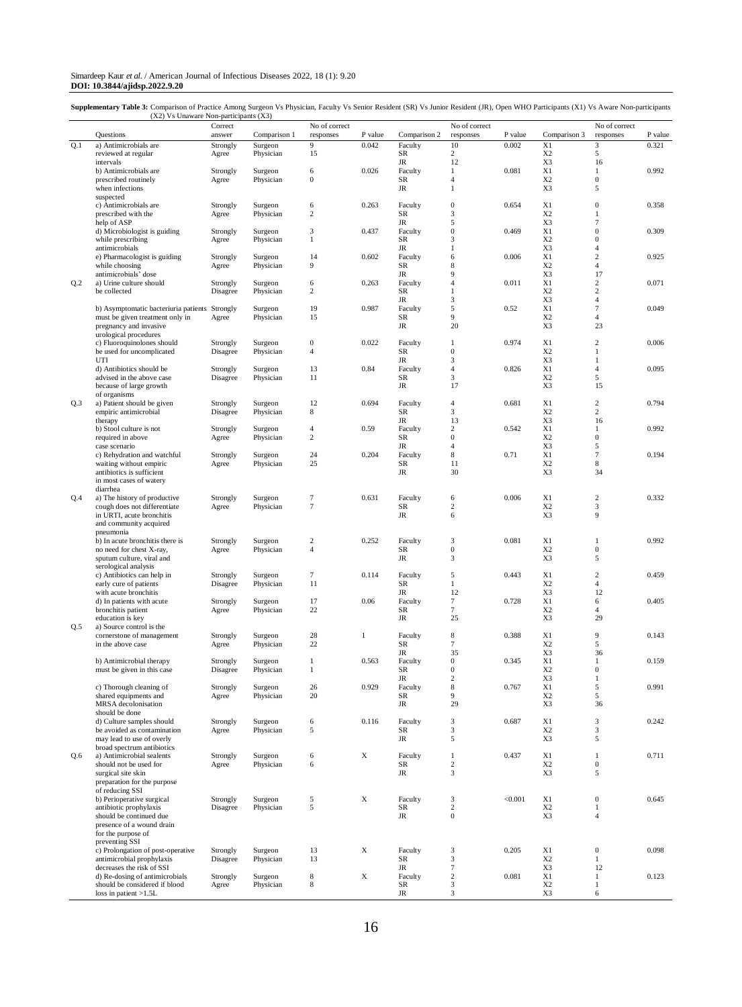#### Simardeep Kaur *et al*. / American Journal of Infectious Diseases 2022, 18 (1): 9.20 **DOI: 10.3844/ajidsp.2022.9.20**

Supplementary Table 3: Comparison of Practice Among Surgeon Vs Physician, Faculty Vs Senior Resident (SR) Vs Junior Resident (JR), Open WHO Participants (X1) Vs Aware Non-participants (X2) Vs Unaware Non-participants (X3)

|     |                                      | Correct  |              | No of correct    |              |              | No of correct    |         |                | No of correct    |         |
|-----|--------------------------------------|----------|--------------|------------------|--------------|--------------|------------------|---------|----------------|------------------|---------|
|     | Questions                            | answer   | Comparison 1 | responses        | P value      | Comparison 2 | responses        | P value | Comparison 3   | responses        | P value |
|     | a) Antimicrobials are                |          |              |                  |              | Faculty      |                  | 0.002   |                |                  |         |
| Q.1 |                                      | Strongly | Surgeon      | 9                | 0.042        |              | 10               |         | X1             | 3                | 0.321   |
|     | reviewed at regular                  | Agree    | Physician    | 15               |              | SR           | $\overline{c}$   |         | X <sub>2</sub> | 5                |         |
|     | intervals                            |          |              |                  |              | $_{\rm JR}$  | 12               |         | X3             | 16               |         |
|     | b) Antimicrobials are                | Strongly | Surgeon      | 6                | 0.026        | Faculty      | $\mathbf{1}$     | 0.081   | X1             | $\mathbf{1}$     | 0.992   |
|     |                                      |          |              |                  |              |              |                  |         |                |                  |         |
|     | prescribed routinely                 | Agree    | Physician    | $\mathbf{0}$     |              | SR           | 4                |         | X <sub>2</sub> | $\boldsymbol{0}$ |         |
|     | when infections                      |          |              |                  |              | JR           | $\mathbf{1}$     |         | X3             | 5                |         |
|     | suspected                            |          |              |                  |              |              |                  |         |                |                  |         |
|     | c) Antimicrobials are                | Strongly | Surgeon      | 6                | 0.263        | Faculty      | $\boldsymbol{0}$ | 0.654   | X1             | $\boldsymbol{0}$ | 0.358   |
|     |                                      |          |              |                  |              |              |                  |         |                |                  |         |
|     | prescribed with the                  | Agree    | Physician    | $\boldsymbol{2}$ |              | SR           | 3                |         | X <sub>2</sub> | $\mathbf{1}$     |         |
|     | help of ASP                          |          |              |                  |              | $_{\rm JR}$  | 5                |         | X3             | $\overline{7}$   |         |
|     | d) Microbiologist is guiding         | Strongly | Surgeon      | 3                | 0.437        | Faculty      | $\boldsymbol{0}$ | 0.469   | X1             | $\mathbf{0}$     | 0.309   |
|     | while prescribing                    |          | Physician    | $\mathbf{1}$     |              | SR           | 3                |         | X <sub>2</sub> | $\mathbf{0}$     |         |
|     |                                      | Agree    |              |                  |              |              |                  |         |                |                  |         |
|     | antimicrobials                       |          |              |                  |              | JR           | $\mathbf{1}$     |         | X3             | $\overline{4}$   |         |
|     | e) Pharmacologist is guiding         | Strongly | Surgeon      | 14               | 0.602        | Faculty      | 6                | 0.006   | X1             | 2                | 0.925   |
|     | while choosing                       | Agree    | Physician    | 9                |              | SR           | 8                |         | X <sub>2</sub> | $\overline{4}$   |         |
|     | antimicrobials' dose                 |          |              |                  |              | JR           | 9                |         | X3             | 17               |         |
|     |                                      |          |              |                  |              |              |                  |         |                |                  |         |
| Q.2 | a) Urine culture should              | Strongly | Surgeon      | 6                | 0.263        | Faculty      | $\overline{4}$   | 0.011   | X1             | $\overline{c}$   | 0.071   |
|     | be collected                         | Disagree | Physician    | $\mathfrak{2}$   |              | SR           | $\mathbf{1}$     |         | X <sub>2</sub> | $\overline{c}$   |         |
|     |                                      |          |              |                  |              | JR           | 3                |         | X3             | $\overline{4}$   |         |
|     |                                      |          |              |                  |              |              |                  |         |                | $\overline{7}$   |         |
|     | b) Asymptomatic bacteriuria patients | Strongly | Surgeon      | 19               | 0.987        | Faculty      | 5                | 0.52    | X1             |                  | 0.049   |
|     | must be given treatment only in      | Agree    | Physician    | 15               |              | SR           | 9                |         | X <sub>2</sub> | $\overline{4}$   |         |
|     | pregnancy and invasive               |          |              |                  |              | JR           | 20               |         | X <sub>3</sub> | 23               |         |
|     | urological procedures                |          |              |                  |              |              |                  |         |                |                  |         |
|     |                                      |          |              |                  |              |              |                  |         |                |                  |         |
|     | c) Fluoroquinolones should           | Strongly | Surgeon      | $\boldsymbol{0}$ | 0.022        | Faculty      | $\mathbf{1}$     | 0.974   | X1             | $\overline{c}$   | 0.006   |
|     | be used for uncomplicated            | Disagree | Physician    | 4                |              | SR           | $\mathbf{0}$     |         | X <sub>2</sub> | $\mathbf{1}$     |         |
|     | UTI                                  |          |              |                  |              | JR           | 3                |         | X3             | $\mathbf{1}$     |         |
|     |                                      |          |              | 13               | 0.84         | Faculty      | 4                | 0.826   | X1             | $\overline{4}$   | 0.095   |
|     | d) Antibiotics should be             | Strongly | Surgeon      |                  |              |              |                  |         |                |                  |         |
|     | advised in the above case            | Disagree | Physician    | 11               |              | SR           | 3                |         | X <sub>2</sub> | 5                |         |
|     | because of large growth              |          |              |                  |              | JR           | 17               |         | X3             | 15               |         |
|     |                                      |          |              |                  |              |              |                  |         |                |                  |         |
|     | of organisms                         |          |              |                  |              |              |                  |         |                |                  |         |
| Q.3 | a) Patient should be given           | Strongly | Surgeon      | 12               | 0.694        | Faculty      | $\overline{4}$   | 0.681   | X1             | $\overline{c}$   | 0.794   |
|     | empiric antimicrobial                | Disagree | Physician    | 8                |              | SR           | 3                |         | X <sub>2</sub> | 2                |         |
|     |                                      |          |              |                  |              |              |                  |         | X3             | 16               |         |
|     | therapy                              |          |              |                  |              | JR           | 13               |         |                |                  |         |
|     | b) Stool culture is not              | Strongly | Surgeon      | $\overline{4}$   | 0.59         | Faculty      | $\overline{c}$   | 0.542   | X1             | $\mathbf{1}$     | 0.992   |
|     | required in above                    | Agree    | Physician    | 2                |              | SR           | $\boldsymbol{0}$ |         | X <sub>2</sub> | $\boldsymbol{0}$ |         |
|     |                                      |          |              |                  |              |              |                  |         |                |                  |         |
|     | case scenario                        |          |              |                  |              | JR           | 4                |         | X3             | 5                |         |
|     | c) Rehydration and watchful          | Strongly | Surgeon      | 24               | 0.204        | Faculty      | 8                | 0.71    | X1             | 7                | 0.194   |
|     | waiting without empiric              | Agree    | Physician    | 25               |              | SR           | 11               |         | X <sub>2</sub> | 8                |         |
|     |                                      |          |              |                  |              |              |                  |         |                |                  |         |
|     | antibiotics is sufficient            |          |              |                  |              | JR           | 30               |         | X3             | 34               |         |
|     | in most cases of watery              |          |              |                  |              |              |                  |         |                |                  |         |
|     | diarrhea                             |          |              |                  |              |              |                  |         |                |                  |         |
|     |                                      |          |              |                  |              |              |                  |         |                |                  |         |
| Q.4 | a) The history of productive         | Strongly | Surgeon      | 7                | 0.631        | Faculty      | 6                | 0.006   | X1             | $\overline{c}$   | 0.332   |
|     | cough does not differentiate         | Agree    | Physician    | $\tau$           |              | SR           | $\overline{c}$   |         | X <sub>2</sub> | 3                |         |
|     | in URTI, acute bronchitis            |          |              |                  |              | $_{\rm JR}$  | 6                |         | X3             | 9                |         |
|     |                                      |          |              |                  |              |              |                  |         |                |                  |         |
|     | and community acquired               |          |              |                  |              |              |                  |         |                |                  |         |
|     | pneumonia                            |          |              |                  |              |              |                  |         |                |                  |         |
|     | b) In acute bronchitis there is      | Strongly | Surgeon      | $\boldsymbol{2}$ | 0.252        | Faculty      | 3                | 0.081   | X1             | $\mathbf{1}$     | 0.992   |
|     |                                      |          |              |                  |              |              |                  |         |                |                  |         |
|     | no need for chest X-ray,             | Agree    | Physician    | $\overline{4}$   |              | SR           | $\boldsymbol{0}$ |         | X <sub>2</sub> | $\boldsymbol{0}$ |         |
|     | sputum culture, viral and            |          |              |                  |              | $_{\rm JR}$  | 3                |         | X3             | 5                |         |
|     | serological analysis                 |          |              |                  |              |              |                  |         |                |                  |         |
|     |                                      |          |              |                  |              |              |                  |         |                |                  |         |
|     | c) Antibiotics can help in           | Strongly | Surgeon      | $\tau$           | 0.114        | Faculty      | 5                | 0.443   | X1             | $\overline{c}$   | 0.459   |
|     | early cure of patients               | Disagree | Physician    | 11               |              | SR           | $\mathbf{1}$     |         | X <sub>2</sub> | $\overline{4}$   |         |
|     | with acute bronchitis                |          |              |                  |              | $_{\rm JR}$  | 12               |         | X3             | 12               |         |
|     |                                      |          |              |                  |              |              |                  |         |                |                  |         |
|     | d) In patients with acute            | Strongly | Surgeon      | 17               | 0.06         | Faculty      | 7                | 0.728   | X1             | 6                | 0.405   |
|     | bronchitis patient                   | Agree    | Physician    | 22               |              | SR           | $\overline{7}$   |         | X <sub>2</sub> | $\overline{4}$   |         |
|     | education is key                     |          |              |                  |              | JR           | 25               |         | X3             | 29               |         |
|     |                                      |          |              |                  |              |              |                  |         |                |                  |         |
| Q.5 | a) Source control is the             |          |              |                  |              |              |                  |         |                |                  |         |
|     | cornerstone of management            | Strongly | Surgeon      | 28               | $\mathbf{1}$ | Faculty      | 8                | 0.388   | X1             | 9                | 0.143   |
|     | in the above case                    | Agree    | Physician    | 22               |              | SR           | $\overline{7}$   |         | X <sub>2</sub> | 5                |         |
|     |                                      |          |              |                  |              | JR           | 35               |         | X3             | 36               |         |
|     |                                      |          |              |                  |              |              |                  |         |                |                  |         |
|     | b) Antimicrobial therapy             | Strongly | Surgeon      | $\mathbf{1}$     | 0.563        | Faculty      | $\boldsymbol{0}$ | 0.345   | X1             | $\mathbf{1}$     | 0.159   |
|     | must be given in this case           | Disagree | Physician    | $\mathbf{1}$     |              | SR           | $\boldsymbol{0}$ |         | X <sub>2</sub> | $\mathbf{0}$     |         |
|     |                                      |          |              |                  |              | JR           | $\overline{c}$   |         | X3             |                  |         |
|     |                                      |          |              |                  |              |              |                  |         |                |                  |         |
|     | c) Thorough cleaning of              | Strongly | Surgeon      | 26               | 0.929        | Faculty      | 8                | 0.767   | X1             | 5                | 0.991   |
|     | shared equipments and                | Agree    | Physician    | 20               |              | SR           | 9                |         | X <sub>2</sub> | 5                |         |
|     | MRSA decolonisation                  |          |              |                  |              | $_{\rm JR}$  | 29               |         | X3             | 36               |         |
|     |                                      |          |              |                  |              |              |                  |         |                |                  |         |
|     | should be done                       |          |              |                  |              |              |                  |         |                |                  |         |
|     | d) Culture samples should            | Strongly | Surgeon      | 6                | 0.116        | Faculty      | 3                | 0.687   | X1             | $\overline{3}$   | 0.242   |
|     | be avoided as contamination          | Agree    | Physician    | 5                |              | SR           | 3                |         | X <sub>2</sub> | 3                |         |
|     |                                      |          |              |                  |              |              |                  |         |                |                  |         |
|     | may lead to use of overly            |          |              |                  |              | $_{\rm JR}$  | 5                |         | X3             | 5                |         |
|     | broad spectrum antibiotics           |          |              |                  |              |              |                  |         |                |                  |         |
| Q.6 | a) Antimicrobial sealents            | Strongly | Surgeon      | 6                | X            | Faculty      | $\mathbf{1}$     | 0.437   | X1             | $\mathbf{1}$     | 0.711   |
|     |                                      |          |              |                  |              |              |                  |         |                |                  |         |
|     | should not be used for               | Agree    | Physician    | 6                |              | SR           | $\overline{c}$   |         | X <sub>2</sub> | $\boldsymbol{0}$ |         |
|     | surgical site skin                   |          |              |                  |              | JR           | 3                |         | X3             | 5                |         |
|     |                                      |          |              |                  |              |              |                  |         |                |                  |         |
|     | preparation for the purpose          |          |              |                  |              |              |                  |         |                |                  |         |
|     | of reducing SSI                      |          |              |                  |              |              |                  |         |                |                  |         |
|     | b) Perioperative surgical            | Strongly | Surgeon      | 5                | X            | Faculty      | 3                | < 0.001 | X1             | $\mathbf{0}$     | 0.645   |
|     | antibiotic prophylaxis               |          | Physician    | 5                |              | SR           | $\overline{c}$   |         | X <sub>2</sub> |                  |         |
|     |                                      | Disagree |              |                  |              |              |                  |         |                | $\mathbf{1}$     |         |
|     | should be continued due              |          |              |                  |              | JR           | $\boldsymbol{0}$ |         | X3             | $\overline{4}$   |         |
|     | presence of a wound drain            |          |              |                  |              |              |                  |         |                |                  |         |
|     |                                      |          |              |                  |              |              |                  |         |                |                  |         |
|     | for the purpose of                   |          |              |                  |              |              |                  |         |                |                  |         |
|     | preventing SSI                       |          |              |                  |              |              |                  |         |                |                  |         |
|     | c) Prolongation of post-operative    | Strongly | Surgeon      | 13               | $\mathbf X$  | Faculty      | 3                | 0.205   | X1             | $\boldsymbol{0}$ | 0.098   |
|     |                                      |          |              |                  |              |              |                  |         |                |                  |         |
|     | antimicrobial prophylaxis            | Disagree | Physician    | 13               |              | SR           | 3                |         | X <sub>2</sub> | $\mathbf{1}$     |         |
|     | decreases the risk of SSI            |          |              |                  |              | JR           | $\tau$           |         | X3             | 12               |         |
|     | d) Re-dosing of antimicrobials       | Strongly | Surgeon      | $\,$ 8 $\,$      | $\mathbf X$  | Faculty      | $\boldsymbol{2}$ | 0.081   | X1             | $\mathbf{1}$     | 0.123   |
|     |                                      |          |              |                  |              |              |                  |         |                |                  |         |
|     | should be considered if blood        | Agree    | Physician    | 8                |              | SR           | 3                |         | X <sub>2</sub> | $\mathbf{1}$     |         |
|     | loss in patient $>1.5L$              |          |              |                  |              | $_{\rm JR}$  | 3                |         | X3             | 6                |         |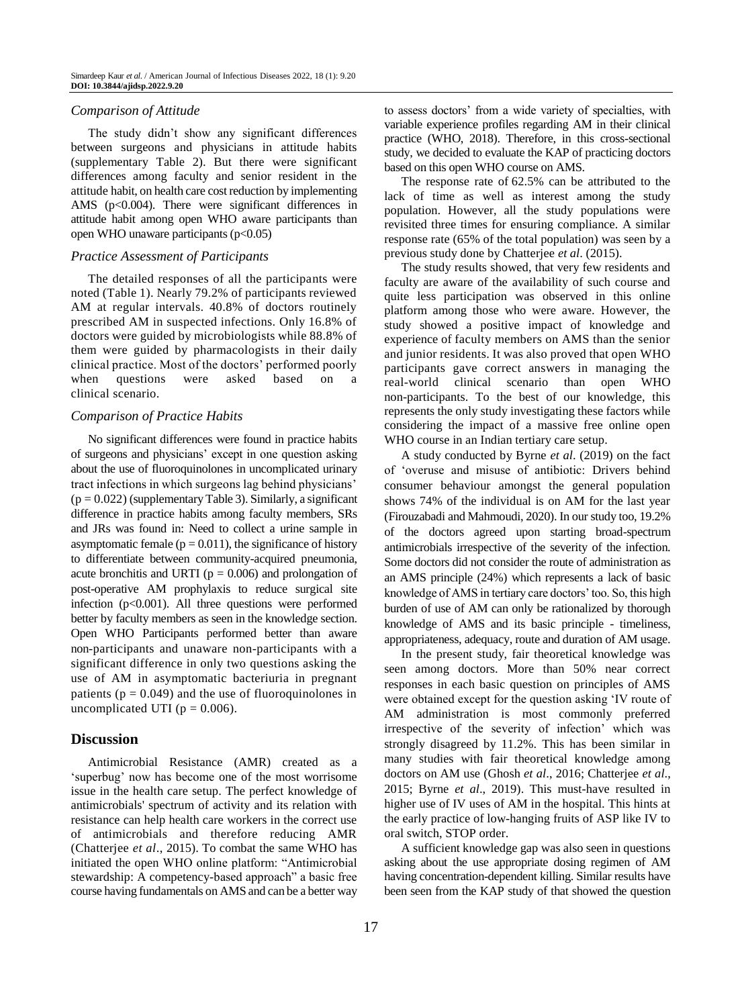#### *Comparison of Attitude*

The study didn't show any significant differences between surgeons and physicians in attitude habits (supplementary Table 2). But there were significant differences among faculty and senior resident in the attitude habit, on health care cost reduction by implementing AMS (p<0.004). There were significant differences in attitude habit among open WHO aware participants than open WHO unaware participants  $(p<0.05)$ 

#### *Practice Assessment of Participants*

The detailed responses of all the participants were noted (Table 1). Nearly 79.2% of participants reviewed AM at regular intervals. 40.8% of doctors routinely prescribed AM in suspected infections. Only 16.8% of doctors were guided by microbiologists while 88.8% of them were guided by pharmacologists in their daily clinical practice. Most of the doctors' performed poorly when questions were asked based on a clinical scenario.

#### *Comparison of Practice Habits*

No significant differences were found in practice habits of surgeons and physicians' except in one question asking about the use of fluoroquinolones in uncomplicated urinary tract infections in which surgeons lag behind physicians'  $(p = 0.022)$  (supplementary Table 3). Similarly, a significant difference in practice habits among faculty members, SRs and JRs was found in: Need to collect a urine sample in asymptomatic female ( $p = 0.011$ ), the significance of history to differentiate between community-acquired pneumonia, acute bronchitis and URTI ( $p = 0.006$ ) and prolongation of post-operative AM prophylaxis to reduce surgical site infection  $(p<0.001)$ . All three questions were performed better by faculty members as seen in the knowledge section. Open WHO Participants performed better than aware non-participants and unaware non-participants with a significant difference in only two questions asking the use of AM in asymptomatic bacteriuria in pregnant patients ( $p = 0.049$ ) and the use of fluoroquinolones in uncomplicated UTI ( $p = 0.006$ ).

#### **Discussion**

Antimicrobial Resistance (AMR) created as a 'superbug' now has become one of the most worrisome issue in the health care setup. The perfect knowledge of antimicrobials' spectrum of activity and its relation with resistance can help health care workers in the correct use of antimicrobials and therefore reducing AMR (Chatterjee *et al*., 2015). To combat the same WHO has initiated the open WHO online platform: "Antimicrobial stewardship: A competency-based approach" a basic free course having fundamentals on AMS and can be a better way to assess doctors' from a wide variety of specialties, with variable experience profiles regarding AM in their clinical practice (WHO, 2018). Therefore, in this cross-sectional study, we decided to evaluate the KAP of practicing doctors based on this open WHO course on AMS.

The response rate of 62.5% can be attributed to the lack of time as well as interest among the study population. However, all the study populations were revisited three times for ensuring compliance. A similar response rate (65% of the total population) was seen by a previous study done by Chatterjee *et al*. (2015).

The study results showed, that very few residents and faculty are aware of the availability of such course and quite less participation was observed in this online platform among those who were aware. However, the study showed a positive impact of knowledge and experience of faculty members on AMS than the senior and junior residents. It was also proved that open WHO participants gave correct answers in managing the real-world clinical scenario than open WHO non-participants. To the best of our knowledge, this represents the only study investigating these factors while considering the impact of a massive free online open WHO course in an Indian tertiary care setup.

A study conducted by Byrne *et al*. (2019) on the fact of 'overuse and misuse of antibiotic: Drivers behind consumer behaviour amongst the general population shows 74% of the individual is on AM for the last year (Firouzabadi and Mahmoudi, 2020). In our study too, 19.2% of the doctors agreed upon starting broad-spectrum antimicrobials irrespective of the severity of the infection. Some doctors did not consider the route of administration as an AMS principle (24%) which represents a lack of basic knowledge of AMS in tertiary care doctors' too. So, this high burden of use of AM can only be rationalized by thorough knowledge of AMS and its basic principle - timeliness, appropriateness, adequacy, route and duration of AM usage.

In the present study, fair theoretical knowledge was seen among doctors. More than 50% near correct responses in each basic question on principles of AMS were obtained except for the question asking 'IV route of AM administration is most commonly preferred irrespective of the severity of infection' which was strongly disagreed by 11.2%. This has been similar in many studies with fair theoretical knowledge among doctors on AM use (Ghosh *et al*., 2016; Chatterjee *et al*., 2015; Byrne *et al*., 2019). This must-have resulted in higher use of IV uses of AM in the hospital. This hints at the early practice of low-hanging fruits of ASP like IV to oral switch, STOP order.

A sufficient knowledge gap was also seen in questions asking about the use appropriate dosing regimen of AM having concentration-dependent killing. Similar results have been seen from the KAP study of that showed the question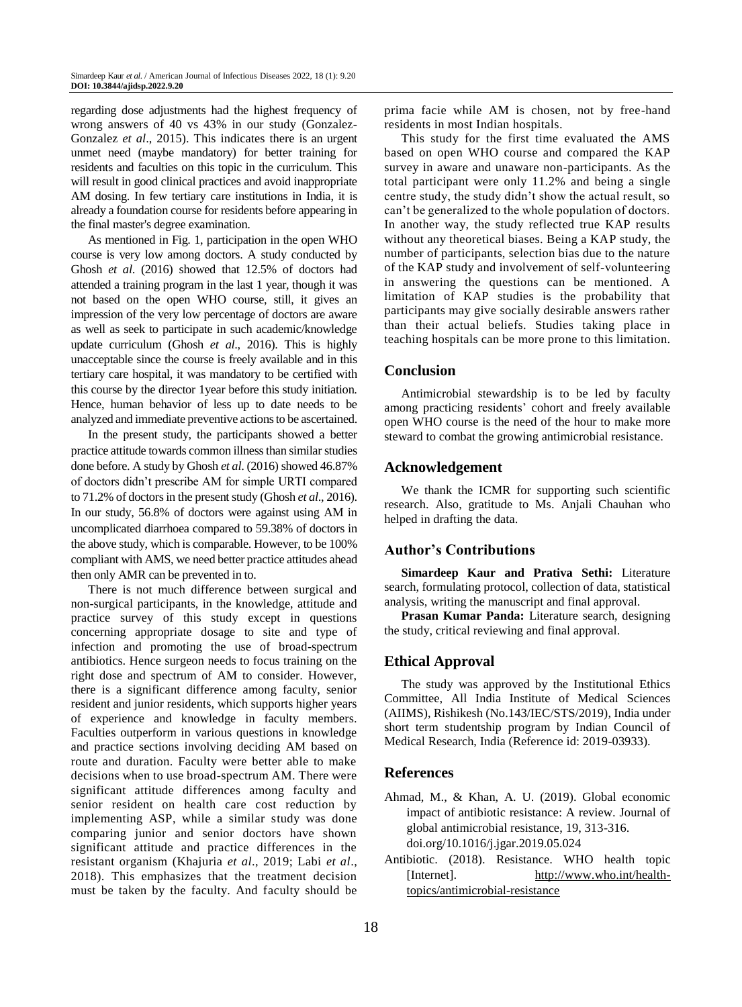regarding dose adjustments had the highest frequency of wrong answers of 40 vs 43% in our study (Gonzalez-Gonzalez *et al*., 2015). This indicates there is an urgent unmet need (maybe mandatory) for better training for residents and faculties on this topic in the curriculum. This will result in good clinical practices and avoid inappropriate AM dosing. In few tertiary care institutions in India, it is already a foundation course for residents before appearing in the final master's degree examination.

As mentioned in Fig. 1, participation in the open WHO course is very low among doctors. A study conducted by Ghosh *et al*. (2016) showed that 12.5% of doctors had attended a training program in the last 1 year, though it was not based on the open WHO course, still, it gives an impression of the very low percentage of doctors are aware as well as seek to participate in such academic/knowledge update curriculum (Ghosh *et al*., 2016). This is highly unacceptable since the course is freely available and in this tertiary care hospital, it was mandatory to be certified with this course by the director 1year before this study initiation. Hence, human behavior of less up to date needs to be analyzed and immediate preventive actions to be ascertained.

In the present study, the participants showed a better practice attitude towards common illness than similar studies done before. A study by Ghosh *et al*. (2016) showed 46.87% of doctors didn't prescribe AM for simple URTI compared to 71.2% of doctors in the present study (Ghosh *et al*., 2016). In our study, 56.8% of doctors were against using AM in uncomplicated diarrhoea compared to 59.38% of doctors in the above study, which is comparable. However, to be 100% compliant with AMS, we need better practice attitudes ahead then only AMR can be prevented in to.

There is not much difference between surgical and non-surgical participants, in the knowledge, attitude and practice survey of this study except in questions concerning appropriate dosage to site and type of infection and promoting the use of broad-spectrum antibiotics. Hence surgeon needs to focus training on the right dose and spectrum of AM to consider. However, there is a significant difference among faculty, senior resident and junior residents, which supports higher years of experience and knowledge in faculty members. Faculties outperform in various questions in knowledge and practice sections involving deciding AM based on route and duration. Faculty were better able to make decisions when to use broad-spectrum AM. There were significant attitude differences among faculty and senior resident on health care cost reduction by implementing ASP, while a similar study was done comparing junior and senior doctors have shown significant attitude and practice differences in the resistant organism (Khajuria *et al*., 2019; Labi *et al*., 2018). This emphasizes that the treatment decision must be taken by the faculty. And faculty should be

prima facie while AM is chosen, not by free-hand residents in most Indian hospitals.

This study for the first time evaluated the AMS based on open WHO course and compared the KAP survey in aware and unaware non-participants. As the total participant were only 11.2% and being a single centre study, the study didn't show the actual result, so can't be generalized to the whole population of doctors. In another way, the study reflected true KAP results without any theoretical biases. Being a KAP study, the number of participants, selection bias due to the nature of the KAP study and involvement of self‐volunteering in answering the questions can be mentioned. A limitation of KAP studies is the probability that participants may give socially desirable answers rather than their actual beliefs. Studies taking place in teaching hospitals can be more prone to this limitation.

# **Conclusion**

Antimicrobial stewardship is to be led by faculty among practicing residents' cohort and freely available open WHO course is the need of the hour to make more steward to combat the growing antimicrobial resistance.

# **Acknowledgement**

We thank the ICMR for supporting such scientific research. Also, gratitude to Ms. Anjali Chauhan who helped in drafting the data.

# **Author's Contributions**

**Simardeep Kaur and Prativa Sethi:** Literature search, formulating protocol, collection of data, statistical analysis, writing the manuscript and final approval.

**Prasan Kumar Panda:** Literature search, designing the study, critical reviewing and final approval.

# **Ethical Approval**

The study was approved by the Institutional Ethics Committee, All India Institute of Medical Sciences (AIIMS), Rishikesh (No.143/IEC/STS/2019), India under short term studentship program by Indian Council of Medical Research, India (Reference id: 2019-03933).

# **References**

- Ahmad, M., & Khan, A. U. (2019). Global economic impact of antibiotic resistance: A review. Journal of global antimicrobial resistance, 19, 313-316. [doi.org/10.1016/j.jgar.2019.05.024](https://doi.org/10.1016/j.jgar.2019.05.024)
- Antibiotic. (2018). Resistance. WHO health topic [Internet]. [http://www.who.int/health](http://www.who.int/health-topics/antimicrobial-resistance)[topics/antimicrobial-resistance](http://www.who.int/health-topics/antimicrobial-resistance)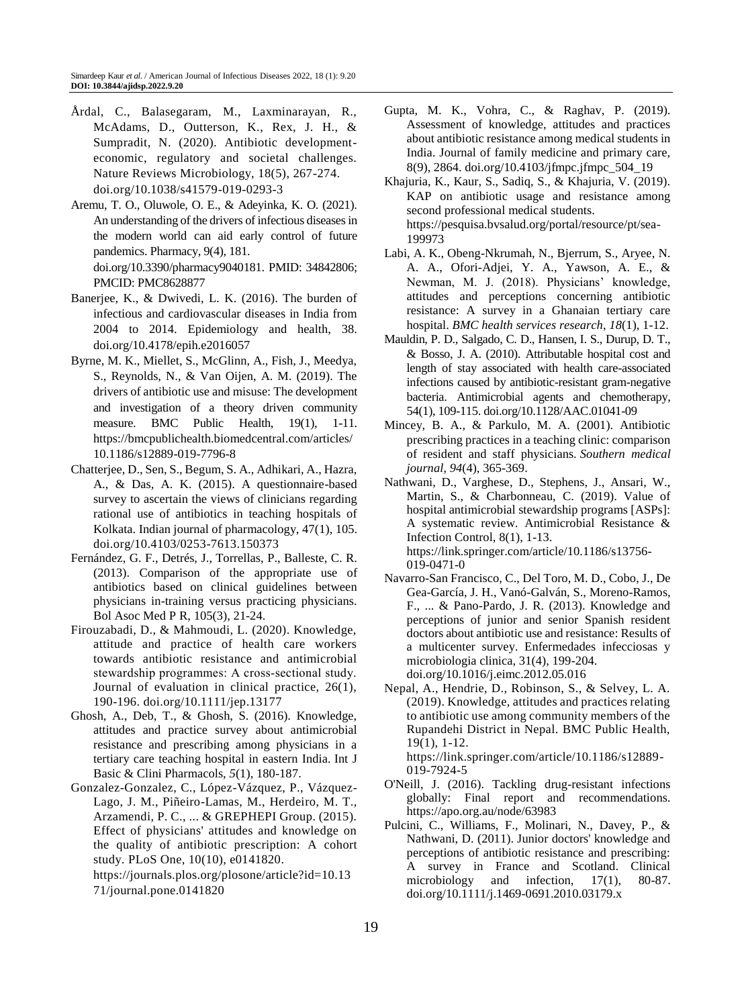- Årdal, C., Balasegaram, M., Laxminarayan, R., McAdams, D., Outterson, K., Rex, J. H., & Sumpradit, N. (2020). Antibiotic developmenteconomic, regulatory and societal challenges. Nature Reviews Microbiology, 18(5), 267-274. doi.org/10.1038/s41579-019-0293-3
- Aremu, T. O., Oluwole, O. E., & Adeyinka, K. O. (2021). An understanding of the drivers of infectious diseases in the modern world can aid early control of future pandemics. Pharmacy, 9(4), 181. doi.org/10.3390/pharmacy9040181. PMID: 34842806; PMCID: PMC8628877
- Banerjee, K., & Dwivedi, L. K. (2016). The burden of infectious and cardiovascular diseases in India from 2004 to 2014. Epidemiology and health, 38. doi.org/10.4178/epih.e2016057
- Byrne, M. K., Miellet, S., McGlinn, A., Fish, J., Meedya, S., Reynolds, N., & Van Oijen, A. M. (2019). The drivers of antibiotic use and misuse: The development and investigation of a theory driven community measure. BMC Public Health, 19(1), 1-11. https://bmcpublichealth.biomedcentral.com/articles/ 10.1186/s12889-019-7796-8
- Chatterjee, D., Sen, S., Begum, S. A., Adhikari, A., Hazra, A., & Das, A. K. (2015). A questionnaire-based survey to ascertain the views of clinicians regarding rational use of antibiotics in teaching hospitals of Kolkata. Indian journal of pharmacology, 47(1), 105. doi.org/10.4103/0253-7613.150373
- Fernández, G. F., Detrés, J., Torrellas, P., Balleste, C. R. (2013). Comparison of the appropriate use of antibiotics based on clinical guidelines between physicians in-training versus practicing physicians. Bol Asoc Med P R, 105(3), 21-24.
- Firouzabadi, D., & Mahmoudi, L. (2020). Knowledge, attitude and practice of health care workers towards antibiotic resistance and antimicrobial stewardship programmes: A cross‐sectional study. Journal of evaluation in clinical practice, 26(1), 190-196. doi.org/10.1111/jep.13177
- Ghosh, A., Deb, T., & Ghosh, S. (2016). Knowledge, attitudes and practice survey about antimicrobial resistance and prescribing among physicians in a tertiary care teaching hospital in eastern India. Int J Basic & Clini Pharmacols, *5*(1), 180-187.
- Gonzalez-Gonzalez, C., López-Vázquez, P., Vázquez-Lago, J. M., Piñeiro-Lamas, M., Herdeiro, M. T., Arzamendi, P. C., ... & GREPHEPI Group. (2015). Effect of physicians' attitudes and knowledge on the quality of antibiotic prescription: A cohort study. PLoS One, 10(10), e0141820.
	- https://journals.plos.org/plosone/article?id=10.13 71/journal.pone.0141820
- Gupta, M. K., Vohra, C., & Raghav, P. (2019). Assessment of knowledge, attitudes and practices about antibiotic resistance among medical students in India. Journal of family medicine and primary care, 8(9), 2864. doi.org/10.4103/jfmpc.jfmpc\_504\_19
- Khajuria, K., Kaur, S., Sadiq, S., & Khajuria, V. (2019). KAP on antibiotic usage and resistance among second professional medical students. https://pesquisa.bvsalud.org/portal/resource/pt/sea-199973
- Labi, A. K., Obeng-Nkrumah, N., Bjerrum, S., Aryee, N. A. A., Ofori-Adjei, Y. A., Yawson, A. E., & Newman, M. J. (2018). Physicians' knowledge, attitudes and perceptions concerning antibiotic resistance: A survey in a Ghanaian tertiary care hospital. *BMC health services research*, *18*(1), 1-12.
- Mauldin, P. D., Salgado, C. D., Hansen, I. S., Durup, D. T., & Bosso, J. A. (2010). Attributable hospital cost and length of stay associated with health care-associated infections caused by antibiotic-resistant gram-negative bacteria. Antimicrobial agents and chemotherapy, 54(1), 109-115. doi.org/10.1128/AAC.01041-09
- Mincey, B. A., & Parkulo, M. A. (2001). Antibiotic prescribing practices in a teaching clinic: comparison of resident and staff physicians. *Southern medical journal*, *94*(4), 365-369.
- Nathwani, D., Varghese, D., Stephens, J., Ansari, W., Martin, S., & Charbonneau, C. (2019). Value of hospital antimicrobial stewardship programs [ASPs]: A systematic review. Antimicrobial Resistance & Infection Control, 8(1), 1-13. https://link.springer.com/article/10.1186/s13756- 019-0471-0
- Navarro-San Francisco, C., Del Toro, M. D., Cobo, J., De Gea-García, J. H., Vanó-Galván, S., Moreno-Ramos, F., ... & Pano-Pardo, J. R. (2013). Knowledge and perceptions of junior and senior Spanish resident doctors about antibiotic use and resistance: Results of a multicenter survey. Enfermedades infecciosas y microbiologia clinica, 31(4), 199-204. doi.org/10.1016/j.eimc.2012.05.016
- Nepal, A., Hendrie, D., Robinson, S., & Selvey, L. A. (2019). Knowledge, attitudes and practices relating to antibiotic use among community members of the Rupandehi District in Nepal. BMC Public Health, 19(1), 1-12.

https://link.springer.com/article/10.1186/s12889- 019-7924-5

- O'Neill, J. (2016). Tackling drug-resistant infections globally: Final report and recommendations. https://apo.org.au/node/63983
- Pulcini, C., Williams, F., Molinari, N., Davey, P., & Nathwani, D. (2011). Junior doctors' knowledge and perceptions of antibiotic resistance and prescribing: A survey in France and Scotland. Clinical microbiology and infection, 17(1), 80-87. doi.org/10.1111/j.1469-0691.2010.03179.x